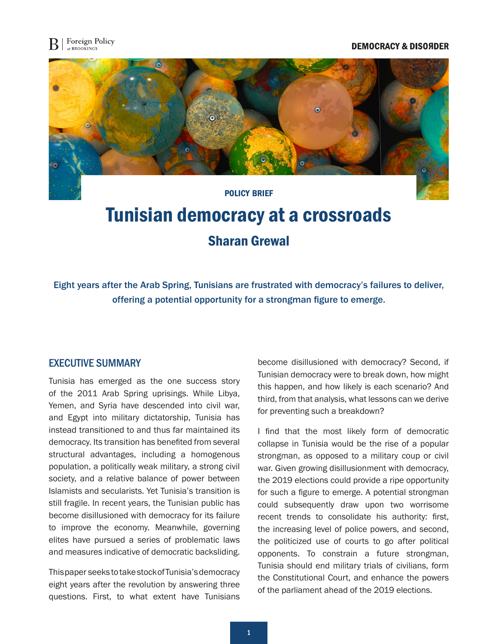## **DEMOCRACY & DISOЯDER**



# Tunisian democracy at a crossroads Sharan Grewal

Eight years after the Arab Spring, Tunisians are frustrated with democracy's failures to deliver, offering a potential opportunity for a strongman figure to emerge.

## EXECUTIVE SUMMARY

Tunisia has emerged as the one success story of the 2011 Arab Spring uprisings. While Libya, Yemen, and Syria have descended into civil war, and Egypt into military dictatorship, Tunisia has instead transitioned to and thus far maintained its democracy. Its transition has benefited from several structural advantages, including a homogenous population, a politically weak military, a strong civil society, and a relative balance of power between Islamists and secularists. Yet Tunisia's transition is still fragile. In recent years, the Tunisian public has become disillusioned with democracy for its failure to improve the economy. Meanwhile, governing elites have pursued a series of problematic laws and measures indicative of democratic backsliding.

This paper seeks to take stock of Tunisia's democracy eight years after the revolution by answering three questions. First, to what extent have Tunisians

become disillusioned with democracy? Second, if Tunisian democracy were to break down, how might this happen, and how likely is each scenario? And third, from that analysis, what lessons can we derive for preventing such a breakdown?

I find that the most likely form of democratic collapse in Tunisia would be the rise of a popular strongman, as opposed to a military coup or civil war. Given growing disillusionment with democracy, the 2019 elections could provide a ripe opportunity for such a figure to emerge. A potential strongman could subsequently draw upon two worrisome recent trends to consolidate his authority: first, the increasing level of police powers, and second, the politicized use of courts to go after political opponents. To constrain a future strongman, Tunisia should end military trials of civilians, form the Constitutional Court, and enhance the powers of the parliament ahead of the 2019 elections.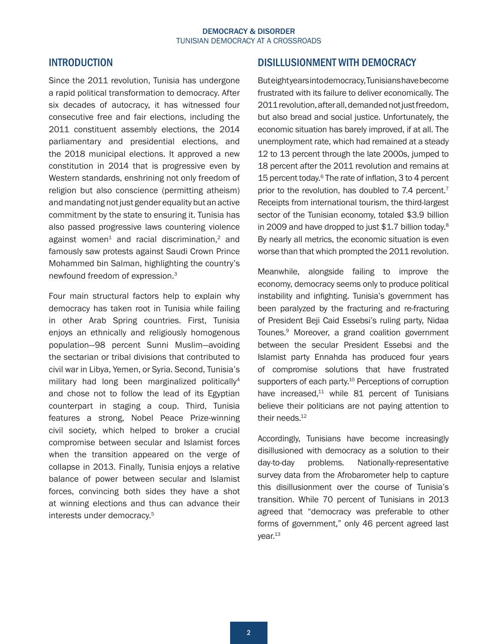# <span id="page-1-0"></span>INTRODUCTION

Since the 2011 revolution, Tunisia has undergone a rapid political transformation to democracy. After six decades of autocracy, it has witnessed four consecutive free and fair elections, including the 2011 constituent assembly elections, the 2014 parliamentary and presidential elections, and the 2018 municipal elections. It approved a new constitution in 2014 that is progressive even by Western standards, enshrining not only freedom of religion but also conscience (permitting atheism) and mandating not just gender equality but an active commitment by the state to ensuring it. Tunisia has also passed progressive laws countering violence against women<sup>[1](#page-8-0)</sup> and racial discrimination,<sup>2</sup> and famously saw protests against Saudi Crown Prince Mohammed bin Salman, highlighting the country's newfound freedom of expression[.3](#page-8-0)

Four main structural factors help to explain why democracy has taken root in Tunisia while failing in other Arab Spring countries. First, Tunisia enjoys an ethnically and religiously homogenous population—98 percent Sunni Muslim—avoiding the sectarian or tribal divisions that contributed to civil war in Libya, Yemen, or Syria. Second, Tunisia's military had long been marginalized politically<sup>4</sup> and chose not to follow the lead of its Egyptian counterpart in staging a coup. Third, Tunisia features a strong, Nobel Peace Prize-winning civil society, which helped to broker a crucial compromise between secular and Islamist forces when the transition appeared on the verge of collapse in 2013. Finally, Tunisia enjoys a relative balance of power between secular and Islamist forces, convincing both sides they have a shot at winning elections and thus can advance their interests under democracy.[5](#page-8-0)

# DISILLUSIONMENT WITH DEMOCRACY

But eight years into democracy, Tunisians have become frustrated with its failure to deliver economically. The 2011 revolution, after all, demanded not just freedom, but also bread and social justice. Unfortunately, the economic situation has barely improved, if at all. The unemployment rate, which had remained at a steady 12 to 13 percent through the late 2000s, jumped to 18 percent after the 2011 revolution and remains at 15 percent today.<sup>6</sup> The rate of inflation, 3 to 4 percent prior to the revolution, has doubled to 7.4 percent.<sup>7</sup> Receipts from international tourism, the third-largest sector of the Tunisian economy, totaled \$3.9 billion in 2009 and have dropped to just \$1.7 billion today[.8](#page-8-0) By nearly all metrics, the economic situation is even worse than that which prompted the 2011 revolution.

Meanwhile, alongside failing to improve the economy, democracy seems only to produce political instability and infighting. Tunisia's government has been paralyzed by the fracturing and re-fracturing of President Beji Caid Essebsi's ruling party, Nidaa Tounes.[9](#page-8-0) Moreover, a grand coalition government between the secular President Essebsi and the Islamist party Ennahda has produced four years of compromise solutions that have frustrated supporters of each party.<sup>10</sup> Perceptions of corruption have increased, $11$  while 81 percent of Tunisians believe their politicians are not paying attention to their needs.<sup>12</sup>

Accordingly, Tunisians have become increasingly disillusioned with democracy as a solution to their day-to-day problems. Nationally-representative survey data from the Afrobarometer help to capture this disillusionment over the course of Tunisia's transition. While 70 percent of Tunisians in 2013 agreed that "democracy was preferable to other forms of government," only 46 percent agreed last year[.13](#page-8-0)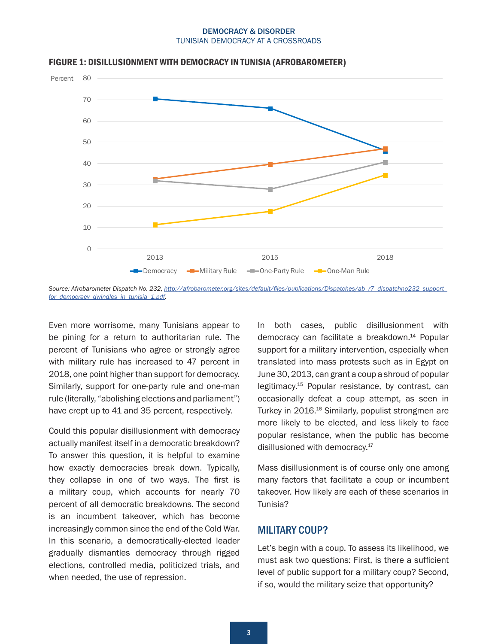

#### <span id="page-2-0"></span>FIGURE 1: DISILLUSIONMENT WITH DEMOCRACY IN TUNISIA (AFROBAROMETER)

Even more worrisome, many Tunisians appear to be pining for a return to authoritarian rule. The percent of Tunisians who agree or strongly agree with military rule has increased to 47 percent in 2018, one point higher than support for democracy. Similarly, support for one-party rule and one-man rule (literally, "abolishing elections and parliament") have crept up to 41 and 35 percent, respectively.

Could this popular disillusionment with democracy actually manifest itself in a democratic breakdown? To answer this question, it is helpful to examine how exactly democracies break down. Typically, they collapse in one of two ways. The first is a military coup, which accounts for nearly 70 percent of all democratic breakdowns. The second is an incumbent takeover, which has become increasingly common since the end of the Cold War. In this scenario, a democratically-elected leader gradually dismantles democracy through rigged elections, controlled media, politicized trials, and when needed, the use of repression.

In both cases, public disillusionment with democracy can facilitate a breakdown[.14](#page-9-0) Popular support for a military intervention, especially when translated into mass protests such as in Egypt on June 30, 2013, can grant a coup a shroud of popular legitimacy[.15](#page-9-0) Popular resistance, by contrast, can occasionally defeat a coup attempt, as seen in Turkey in 2016.<sup>16</sup> Similarly, populist strongmen are more likely to be elected, and less likely to face popular resistance, when the public has become disillusioned with democracy.<sup>17</sup>

Mass disillusionment is of course only one among many factors that facilitate a coup or incumbent takeover. How likely are each of these scenarios in Tunisia?

# MILITARY COUP?

Let's begin with a coup. To assess its likelihood, we must ask two questions: First, is there a sufficient level of public support for a military coup? Second, if so, would the military seize that opportunity?

*Source: Afrobarometer Dispatch No. 232, [http://afrobarometer.org/sites/default/files/publications/Dispatches/ab\\_r7\\_dispatchno232\\_support\\_](http://afrobarometer.org/sites/default/files/publications/Dispatches/ab_r7_dispatchno232_support_for_democracy_dwindles_in_tunisia_1.pdf) [for\\_democracy\\_dwindles\\_in\\_tunisia\\_1.pdf](http://afrobarometer.org/sites/default/files/publications/Dispatches/ab_r7_dispatchno232_support_for_democracy_dwindles_in_tunisia_1.pdf).*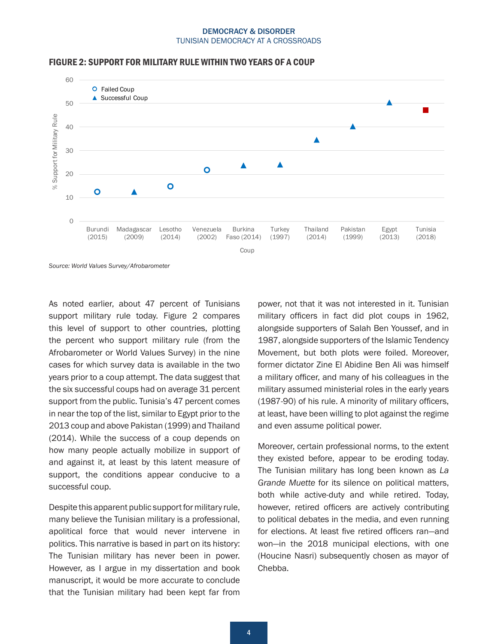

#### FIGURE 2: SUPPORT FOR MILITARY RULE WITHIN TWO YEARS OF A COUP

*Source: World Values Survey/Afrobarometer*

As noted earlier, about 47 percent of Tunisians support military rule today. Figure 2 compares this level of support to other countries, plotting the percent who support military rule (from the Afrobarometer or World Values Survey) in the nine cases for which survey data is available in the two years prior to a coup attempt. The data suggest that the six successful coups had on average 31 percent support from the public. Tunisia's 47 percent comes in near the top of the list, similar to Egypt prior to the 2013 coup and above Pakistan (1999) and Thailand (2014). While the success of a coup depends on how many people actually mobilize in support of and against it, at least by this latent measure of support, the conditions appear conducive to a successful coup.

Despite this apparent public support for military rule, many believe the Tunisian military is a professional, apolitical force that would never intervene in politics. This narrative is based in part on its history: The Tunisian military has never been in power. However, as I argue in my dissertation and book manuscript, it would be more accurate to conclude that the Tunisian military had been kept far from

power, not that it was not interested in it. Tunisian military officers in fact did plot coups in 1962, alongside supporters of Salah Ben Youssef, and in 1987, alongside supporters of the Islamic Tendency Movement, but both plots were foiled. Moreover, former dictator Zine El Abidine Ben Ali was himself a military officer, and many of his colleagues in the military assumed ministerial roles in the early years (1987-90) of his rule. A minority of military officers, at least, have been willing to plot against the regime and even assume political power.

Moreover, certain professional norms, to the extent they existed before, appear to be eroding today. The Tunisian military has long been known as *La Grande Muette* for its silence on political matters, both while active-duty and while retired. Today, however, retired officers are actively contributing to political debates in the media, and even running for elections. At least five retired officers ran—and won—in the 2018 municipal elections, with one (Houcine Nasri) subsequently chosen as mayor of Chebba.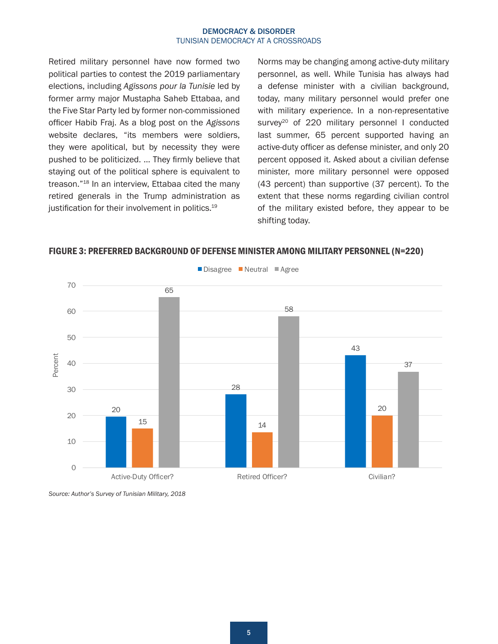<span id="page-4-0"></span>Retired military personnel have now formed two political parties to contest the 2019 parliamentary elections, including *Agissons pour la Tunisie* led by former army major Mustapha Saheb Ettabaa, and the Five Star Party led by former non-commissioned officer Habib Fraj. As a blog post on the *Agissons* website declares, "its members were soldiers, they were apolitical, but by necessity they were pushed to be politicized. … They firmly believe that staying out of the political sphere is equivalent to treason.["18](#page-9-0) In an interview, Ettabaa cited the many retired generals in the Trump administration as justification for their involvement in politics.<sup>[19](#page-9-0)</sup>

Norms may be changing among active-duty military personnel, as well. While Tunisia has always had a defense minister with a civilian background, today, many military personnel would prefer one with military experience. In a non-representative survey<sup>[20](#page-9-0)</sup> of 220 military personnel I conducted last summer, 65 percent supported having an active-duty officer as defense minister, and only 20 percent opposed it. Asked about a civilian defense minister, more military personnel were opposed (43 percent) than supportive (37 percent). To the extent that these norms regarding civilian control of the military existed before, they appear to be shifting today.



## FIGURE 3: PREFERRED BACKGROUND OF DEFENSE MINISTER AMONG MILITARY PERSONNEL (N=220)

*Source: Author's Survey of Tunisian Military, 2018*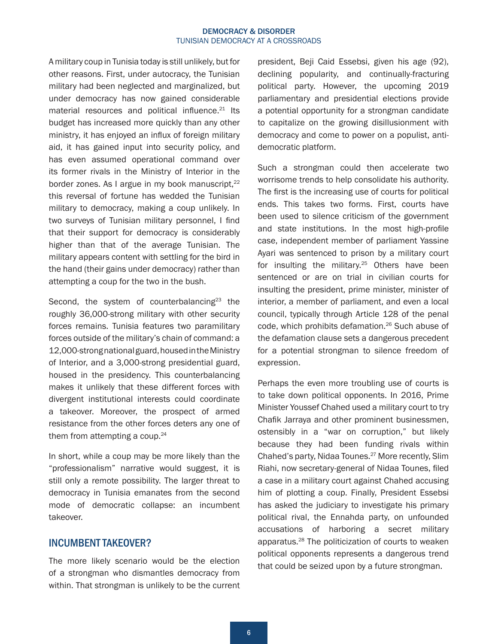<span id="page-5-0"></span>A military coup in Tunisia today is still unlikely, but for other reasons. First, under autocracy, the Tunisian military had been neglected and marginalized, but under democracy has now gained considerable material resources and political influence.<sup>21</sup> Its budget has increased more quickly than any other ministry, it has enjoyed an influx of foreign military aid, it has gained input into security policy, and has even assumed operational command over its former rivals in the Ministry of Interior in the border zones. As I argue in my book manuscript,<sup>22</sup> this reversal of fortune has wedded the Tunisian military to democracy, making a coup unlikely. In two surveys of Tunisian military personnel, I find that their support for democracy is considerably higher than that of the average Tunisian. The military appears content with settling for the bird in the hand (their gains under democracy) rather than attempting a coup for the two in the bush.

Second, the system of counterbalancing $23$  the roughly 36,000-strong military with other security forces remains. Tunisia features two paramilitary forces outside of the military's chain of command: a 12,000-strong national guard, housed in the Ministry of Interior, and a 3,000-strong presidential guard, housed in the presidency. This counterbalancing makes it unlikely that these different forces with divergent institutional interests could coordinate a takeover. Moreover, the prospect of armed resistance from the other forces deters any one of them from attempting a coup.<sup>[24](#page-9-0)</sup>

In short, while a coup may be more likely than the "professionalism" narrative would suggest, it is still only a remote possibility. The larger threat to democracy in Tunisia emanates from the second mode of democratic collapse: an incumbent takeover.

## INCUMBENT TAKEOVER?

The more likely scenario would be the election of a strongman who dismantles democracy from within. That strongman is unlikely to be the current

president, Beji Caid Essebsi, given his age (92), declining popularity, and continually-fracturing political party. However, the upcoming 2019 parliamentary and presidential elections provide a potential opportunity for a strongman candidate to capitalize on the growing disillusionment with democracy and come to power on a populist, antidemocratic platform.

Such a strongman could then accelerate two worrisome trends to help consolidate his authority. The first is the increasing use of courts for political ends. This takes two forms. First, courts have been used to silence criticism of the government and state institutions. In the most high-profile case, independent member of parliament Yassine Ayari was sentenced to prison by a military court for insulting the military.<sup>25</sup> Others have been sentenced or are on trial in civilian courts for insulting the president, prime minister, minister of interior, a member of parliament, and even a local council, typically through Article 128 of the penal code, which prohibits defamation[.26](#page-10-0) Such abuse of the defamation clause sets a dangerous precedent for a potential strongman to silence freedom of expression.

Perhaps the even more troubling use of courts is to take down political opponents. In 2016, Prime Minister Youssef Chahed used a military court to try Chafik Jarraya and other prominent businessmen, ostensibly in a "war on corruption," but likely because they had been funding rivals within Chahed's party, Nidaa Tounes.[27](#page-10-0) More recently, Slim Riahi, now secretary-general of Nidaa Tounes, filed a case in a military court against Chahed accusing him of plotting a coup. Finally, President Essebsi has asked the judiciary to investigate his primary political rival, the Ennahda party, on unfounded accusations of harboring a secret military apparatus[.28](#page-10-0) The politicization of courts to weaken political opponents represents a dangerous trend that could be seized upon by a future strongman.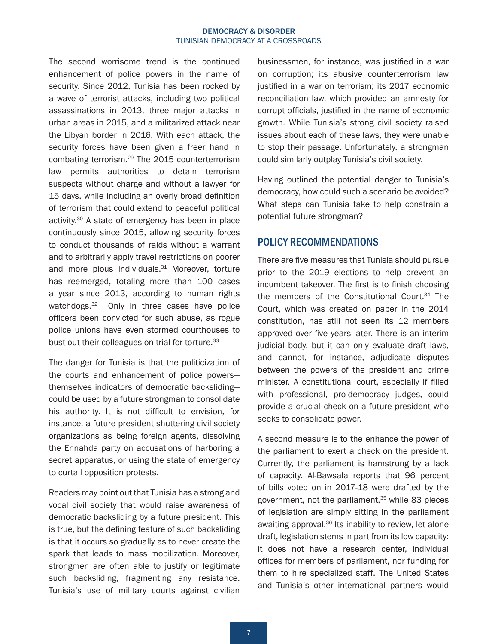<span id="page-6-0"></span>The second worrisome trend is the continued enhancement of police powers in the name of security. Since 2012, Tunisia has been rocked by a wave of terrorist attacks, including two political assassinations in 2013, three major attacks in urban areas in 2015, and a militarized attack near the Libyan border in 2016. With each attack, the security forces have been given a freer hand in combating terrorism[.29](#page-10-0) The 2015 counterterrorism law permits authorities to detain terrorism suspects without charge and without a lawyer for 15 days, while including an overly broad definition of terrorism that could extend to peaceful political activity.[30](#page-10-0) A state of emergency has been in place continuously since 2015, allowing security forces to conduct thousands of raids without a warrant and to arbitrarily apply travel restrictions on poorer and more pious individuals.<sup>[31](#page-10-0)</sup> Moreover, torture has reemerged, totaling more than 100 cases a year since 2013, according to human rights watchdogs.<sup>32</sup> Only in three cases have police officers been convicted for such abuse, as rogue police unions have even stormed courthouses to bust out their colleagues on trial for torture.<sup>[33](#page-10-0)</sup>

The danger for Tunisia is that the politicization of the courts and enhancement of police powers themselves indicators of democratic backsliding could be used by a future strongman to consolidate his authority. It is not difficult to envision, for instance, a future president shuttering civil society organizations as being foreign agents, dissolving the Ennahda party on accusations of harboring a secret apparatus, or using the state of emergency to curtail opposition protests.

Readers may point out that Tunisia has a strong and vocal civil society that would raise awareness of democratic backsliding by a future president. This is true, but the defining feature of such backsliding is that it occurs so gradually as to never create the spark that leads to mass mobilization. Moreover, strongmen are often able to justify or legitimate such backsliding, fragmenting any resistance. Tunisia's use of military courts against civilian

businessmen, for instance, was justified in a war on corruption; its abusive counterterrorism law justified in a war on terrorism; its 2017 economic reconciliation law, which provided an amnesty for corrupt officials, justified in the name of economic growth. While Tunisia's strong civil society raised issues about each of these laws, they were unable to stop their passage. Unfortunately, a strongman could similarly outplay Tunisia's civil society.

Having outlined the potential danger to Tunisia's democracy, how could such a scenario be avoided? What steps can Tunisia take to help constrain a potential future strongman?

# POLICY RECOMMENDATIONS

There are five measures that Tunisia should pursue prior to the 2019 elections to help prevent an incumbent takeover. The first is to finish choosing the members of the Constitutional Court.<sup>[34](#page-10-0)</sup> The Court, which was created on paper in the 2014 constitution, has still not seen its 12 members approved over five years later. There is an interim judicial body, but it can only evaluate draft laws, and cannot, for instance, adjudicate disputes between the powers of the president and prime minister. A constitutional court, especially if filled with professional, pro-democracy judges, could provide a crucial check on a future president who seeks to consolidate power.

A second measure is to the enhance the power of the parliament to exert a check on the president. Currently, the parliament is hamstrung by a lack of capacity. Al-Bawsala reports that 96 percent of bills voted on in 2017-18 were drafted by the government, not the parliament, $35$  while 83 pieces of legislation are simply sitting in the parliament awaiting approval.<sup>[36](#page-10-0)</sup> Its inability to review, let alone draft, legislation stems in part from its low capacity: it does not have a research center, individual offices for members of parliament, nor funding for them to hire specialized staff. The United States and Tunisia's other international partners would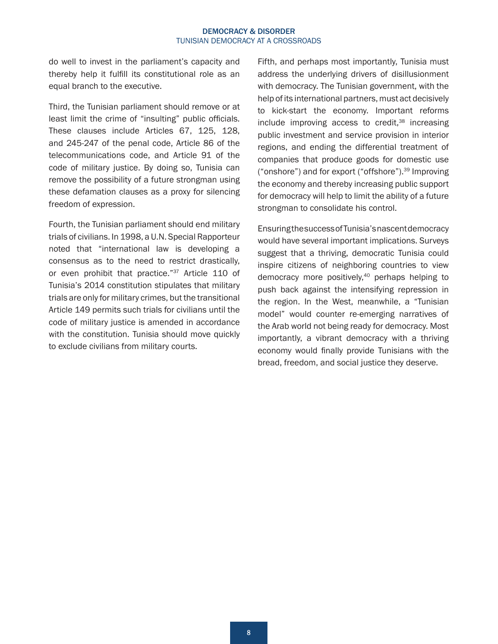<span id="page-7-0"></span>do well to invest in the parliament's capacity and thereby help it fulfill its constitutional role as an equal branch to the executive.

Third, the Tunisian parliament should remove or at least limit the crime of "insulting" public officials. These clauses include Articles 67, 125, 128, and 245-247 of the penal code, Article 86 of the telecommunications code, and Article 91 of the code of military justice. By doing so, Tunisia can remove the possibility of a future strongman using these defamation clauses as a proxy for silencing freedom of expression.

Fourth, the Tunisian parliament should end military trials of civilians. In 1998, a U.N. Special Rapporteur noted that "international law is developing a consensus as to the need to restrict drastically, or even prohibit that practice."<sup>37</sup> Article 110 of Tunisia's 2014 constitution stipulates that military trials are only for military crimes, but the transitional Article 149 permits such trials for civilians until the code of military justice is amended in accordance with the constitution. Tunisia should move quickly to exclude civilians from military courts.

Fifth, and perhaps most importantly, Tunisia must address the underlying drivers of disillusionment with democracy. The Tunisian government, with the help of its international partners, must act decisively to kick-start the economy. Important reforms  $include$  improving access to credit.<sup>[38](#page-10-0)</sup> increasing public investment and service provision in interior regions, and ending the differential treatment of companies that produce goods for domestic use ("onshore") and for export ("offshore").[39](#page-11-0) Improving the economy and thereby increasing public support for democracy will help to limit the ability of a future strongman to consolidate his control.

Ensuring the success of Tunisia's nascent democracy would have several important implications. Surveys suggest that a thriving, democratic Tunisia could inspire citizens of neighboring countries to view democracy more positively,<sup>40</sup> perhaps helping to push back against the intensifying repression in the region. In the West, meanwhile, a "Tunisian model" would counter re-emerging narratives of the Arab world not being ready for democracy. Most importantly, a vibrant democracy with a thriving economy would finally provide Tunisians with the bread, freedom, and social justice they deserve.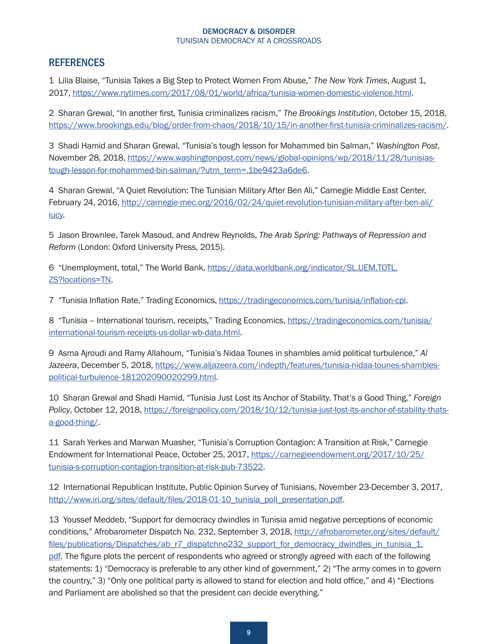# <span id="page-8-0"></span>**REFERENCES**

[1](#page-1-0) Lilia Blaise, "Tunisia Takes a Big Step to Protect Women From Abuse," *The New York Times*, August 1, 2017, [https://www.nytimes.com/2017/08/01/world/africa/tunisia-women-domestic-violence.html.](https://www.nytimes.com/2017/08/01/world/africa/tunisia-women-domestic-violence.html)

[2](#page-1-0) Sharan Grewal, "In another first, Tunisia criminalizes racism," *The Brookings Institution*, October 15, 2018, <https://www.brookings.edu/blog/order-from-chaos/2018/10/15/in-another-first-tunisia-criminalizes-racism/>.

[3](#page-1-0) Shadi Hamid and Sharan Grewal, "Tunisia's tough lesson for Mohammed bin Salman," *Washington Post*, November 28, 2018, [https://www.washingtonpost.com/news/global-opinions/wp/2018/11/28/tunisias](https://www.washingtonpost.com/news/global-opinions/wp/2018/11/28/tunisias-tough-lesson-for-mohammed-bin-salman/?utm_term=.1be9423a6de6)[tough-lesson-for-mohammed-bin-salman/?utm\\_term=.1be9423a6de6.](https://www.washingtonpost.com/news/global-opinions/wp/2018/11/28/tunisias-tough-lesson-for-mohammed-bin-salman/?utm_term=.1be9423a6de6)

[4](#page-1-0) Sharan Grewal, "A Quiet Revolution: The Tunisian Military After Ben Ali," Carnegie Middle East Center, February 24, 2016, [http://carnegie-mec.org/2016/02/24/quiet-revolution-tunisian-military-after-ben-ali/](http://carnegie-mec.org/2016/02/24/quiet-revolution-tunisian-military-after-ben-ali/iucy) [iucy](http://carnegie-mec.org/2016/02/24/quiet-revolution-tunisian-military-after-ben-ali/iucy).

[5](#page-1-0) Jason Brownlee, Tarek Masoud, and Andrew Reynolds, *The Arab Spring: Pathways of Repression and Reform* (London: Oxford University Press, 2015).

[6](#page-1-0) "Unemployment, total," The World Bank, [https://data.worldbank.org/indicator/SL.UEM.TOTL.](https://data.worldbank.org/indicator/SL.UEM.TOTL.ZS?locations=TN) [ZS?locations=TN](https://data.worldbank.org/indicator/SL.UEM.TOTL.ZS?locations=TN).

[7](#page-1-0) "Tunisia Inflation Rate," Trading Economics,<https://tradingeconomics.com/tunisia/inflation-cpi>.

[8](#page-1-0) "Tunisia - International tourism, receipts," Trading Economics, [https://tradingeconomics.com/tunisia/](https://tradingeconomics.com/tunisia/international-tourism-receipts-us-dollar-wb-data.html) [international-tourism-receipts-us-dollar-wb-data.html](https://tradingeconomics.com/tunisia/international-tourism-receipts-us-dollar-wb-data.html).

[9](#page-1-0) Asma Ajroudi and Ramy Allahoum, "Tunisia's Nidaa Tounes in shambles amid political turbulence," *Al*  Jazeera, December 5, 2018, [https://www.aljazeera.com/indepth/features/tunisia-nidaa-tounes-shambles](https://www.aljazeera.com/indepth/features/tunisia-nidaa-tounes-shambles-political-turbulence-181202090020299.html)[political-turbulence-181202090020299.html.](https://www.aljazeera.com/indepth/features/tunisia-nidaa-tounes-shambles-political-turbulence-181202090020299.html)

[10](#page-1-0) Sharan Grewal and Shadi Hamid, "Tunisia Just Lost its Anchor of Stability. That's a Good Thing," *Foreign Policy*, October 12, 2018, [https://foreignpolicy.com/2018/10/12/tunisia-just-lost-its-anchor-of-stability-thats](https://foreignpolicy.com/2018/10/12/tunisia-just-lost-its-anchor-of-stability-thats-a-good-thing/)[a-good-thing/.](https://foreignpolicy.com/2018/10/12/tunisia-just-lost-its-anchor-of-stability-thats-a-good-thing/)

[11](#page-1-0) Sarah Yerkes and Marwan Muasher, "Tunisia's Corruption Contagion: A Transition at Risk," Carnegie Endowment for International Peace, October 25, 2017, [https://carnegieendowment.org/2017/10/25/](https://carnegieendowment.org/2017/10/25/tunisia-s-corruption-contagion-transition-at-risk-pub-73522) [tunisia-s-corruption-contagion-transition-at-risk-pub-73522.](https://carnegieendowment.org/2017/10/25/tunisia-s-corruption-contagion-transition-at-risk-pub-73522)

[12](#page-1-0) International Republican Institute, Public Opinion Survey of Tunisians, November 23-December 3, 2017, http://www.iri.org/sites/default/files/2018-01-10 tunisia poll presentation.pdf.

[13](#page-1-0) Youssef Meddeb, "Support for democracy dwindles in Tunisia amid negative perceptions of economic conditions," Afrobarometer Dispatch No. 232, September 3, 2018, [http://afrobarometer.org/sites/default/](http://afrobarometer.org/sites/default/files/publications/Dispatches/ab_r7_dispatchno232_support_for_democracy_dwindles_in_tunisia_1.pdf) [files/publications/Dispatches/ab\\_r7\\_dispatchno232\\_support\\_for\\_democracy\\_dwindles\\_in\\_tunisia\\_1.](http://afrobarometer.org/sites/default/files/publications/Dispatches/ab_r7_dispatchno232_support_for_democracy_dwindles_in_tunisia_1.pdf) [pdf](http://afrobarometer.org/sites/default/files/publications/Dispatches/ab_r7_dispatchno232_support_for_democracy_dwindles_in_tunisia_1.pdf). The figure plots the percent of respondents who agreed or strongly agreed with each of the following statements: 1) "Democracy is preferable to any other kind of government," 2) "The army comes in to govern the country," 3) "Only one political party is allowed to stand for election and hold office," and 4) "Elections and Parliament are abolished so that the president can decide everything."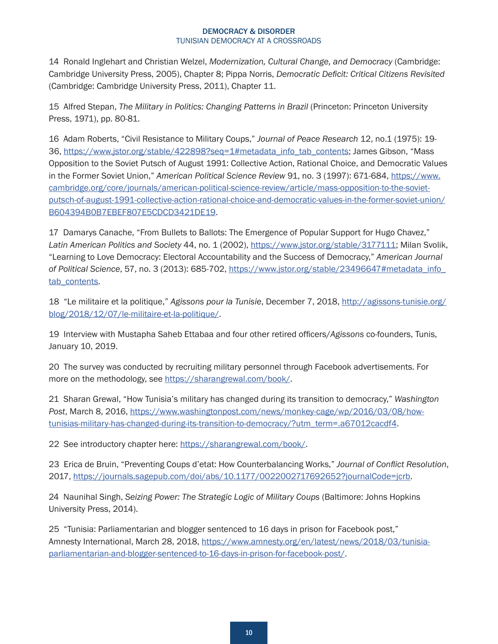<span id="page-9-0"></span>[14](#page-2-0) Ronald Inglehart and Christian Welzel, *Modernization, Cultural Change, and Democracy* (Cambridge: Cambridge University Press, 2005), Chapter 8; Pippa Norris, *Democratic Deficit: Critical Citizens Revisited* (Cambridge: Cambridge University Press, 2011), Chapter 11.

[15](#page-2-0) Alfred Stepan, *The Military in Politics: Changing Patterns in Brazil* (Princeton: Princeton University Press, 1971), pp. 80-81.

[16](#page-2-0) Adam Roberts, "Civil Resistance to Military Coups," *Journal of Peace Research* 12, no.1 (1975): 19 36, [https://www.jstor.org/stable/422898?seq=1#metadata\\_info\\_tab\\_contents;](https://www.jstor.org/stable/422898?seq=1#metadata_info_tab_contents) James Gibson, "Mass Opposition to the Soviet Putsch of August 1991: Collective Action, Rational Choice, and Democratic Values in the Former Soviet Union," *American Political Science Review* 91, no. 3 (1997): 671-684, [https://www.](https://www.cambridge.org/core/journals/american-political-science-review/article/mass-opposition-to-the-soviet-putsch-of-august-1991-collective-action-rational-choice-and-democratic-values-in-the-former-soviet-union/B604394B0B7EBEF807E5CDCD3421DE19) [cambridge.org/core/journals/american-political-science-review/article/mass-opposition-to-the-soviet](https://www.cambridge.org/core/journals/american-political-science-review/article/mass-opposition-to-the-soviet-putsch-of-august-1991-collective-action-rational-choice-and-democratic-values-in-the-former-soviet-union/B604394B0B7EBEF807E5CDCD3421DE19)[putsch-of-august-1991-collective-action-rational-choice-and-democratic-values-in-the-former-soviet-union/](https://www.cambridge.org/core/journals/american-political-science-review/article/mass-opposition-to-the-soviet-putsch-of-august-1991-collective-action-rational-choice-and-democratic-values-in-the-former-soviet-union/B604394B0B7EBEF807E5CDCD3421DE19) [B604394B0B7EBEF807E5CDCD3421DE19](https://www.cambridge.org/core/journals/american-political-science-review/article/mass-opposition-to-the-soviet-putsch-of-august-1991-collective-action-rational-choice-and-democratic-values-in-the-former-soviet-union/B604394B0B7EBEF807E5CDCD3421DE19).

[17](#page-2-0) Damarys Canache, "From Bullets to Ballots: The Emergence of Popular Support for Hugo Chavez," *Latin American Politics and Society* 44, no. 1 (2002), [https://www.jstor.org/stable/3177111;](https://www.jstor.org/stable/3177111) Milan Svolik, "Learning to Love Democracy: Electoral Accountability and the Success of Democracy," *American Journal of Political Science*, 57, no. 3 (2013): 685-702, [https://www.jstor.org/stable/23496647#metadata\\_info\\_](https://www.jstor.org/stable/23496647#metadata_info_tab_contents) tab contents.

[18](#page-4-0) "Le militaire et la politique," *Agissons pour la Tunisie*, December 7, 2018, [http://agissons-tunisie.org/](http://agissons-tunisie.org/blog/2018/12/07/le-militaire-et-la-politique/) [blog/2018/12/07/le-militaire-et-la-politique/](http://agissons-tunisie.org/blog/2018/12/07/le-militaire-et-la-politique/).

[19](#page-4-0) Interview with Mustapha Saheb Ettabaa and four other retired officers/*Agissons* co-founders, Tunis, January 10, 2019.

[20](#page-4-0) The survey was conducted by recruiting military personnel through Facebook advertisements. For more on the methodology, see <https://sharangrewal.com/book/>.

[21](#page-5-0) Sharan Grewal, "How Tunisia's military has changed during its transition to democracy," *Washington Post*, March 8, 2016, [https://www.washingtonpost.com/news/monkey-cage/wp/2016/03/08/how](https://www.washingtonpost.com/news/monkey-cage/wp/2016/03/08/how-tunisias-military-has-changed-during-its-transition-to-democracy/?utm_term=.a67012cacdf4)[tunisias-military-has-changed-during-its-transition-to-democracy/?utm\\_term=.a67012cacdf4.](https://www.washingtonpost.com/news/monkey-cage/wp/2016/03/08/how-tunisias-military-has-changed-during-its-transition-to-democracy/?utm_term=.a67012cacdf4)

[22](#page-5-0) See introductory chapter here: [https://sharangrewal.com/book/.](https://sharangrewal.com/book/)

[23](#page-5-0) Erica de Bruin, "Preventing Coups d'etat: How Counterbalancing Works," *Journal of Conflict Resolution*, 2017, [https://journals.sagepub.com/doi/abs/10.1177/0022002717692652?journalCode=jcrb.](https://journals.sagepub.com/doi/abs/10.1177/0022002717692652?journalCode=jcrb)

[24](#page-5-0) Naunihal Singh, *Seizing Power: The Strategic Logic of Military Coups* (Baltimore: Johns Hopkins University Press, 2014).

[25](#page-5-0) "Tunisia: Parliamentarian and blogger sentenced to 16 days in prison for Facebook post," Amnesty International, March 28, 2018, [https://www.amnesty.org/en/latest/news/2018/03/tunisia](https://www.amnesty.org/en/latest/news/2018/03/tunisia-parliamentarian-and-blogger-sentenced-to-16-days-in-prison-for-facebook-post/)[parliamentarian-and-blogger-sentenced-to-16-days-in-prison-for-facebook-post/](https://www.amnesty.org/en/latest/news/2018/03/tunisia-parliamentarian-and-blogger-sentenced-to-16-days-in-prison-for-facebook-post/).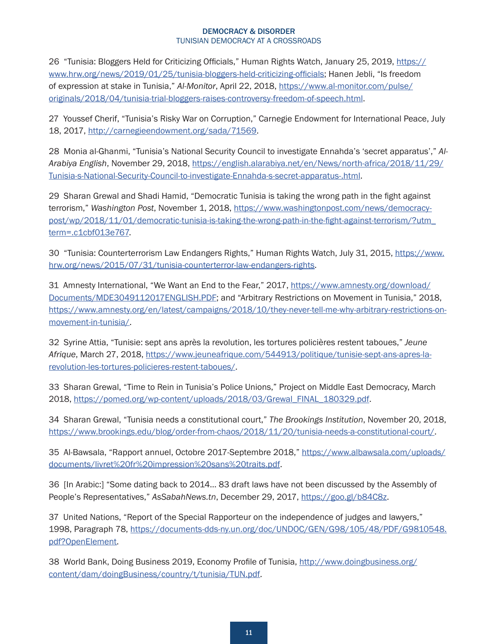<span id="page-10-0"></span>[26](#page-5-0) "Tunisia: Bloggers Held for Criticizing Officials," Human Rights Watch, January 25, 2019, [https://](https://www.hrw.org/news/2019/01/25/tunisia-bloggers-held-criticizing-officials) [www.hrw.org/news/2019/01/25/tunisia-bloggers-held-criticizing-officials](https://www.hrw.org/news/2019/01/25/tunisia-bloggers-held-criticizing-officials); Hanen Jebli, "Is freedom of expression at stake in Tunisia," *Al-Monitor*, April 22, 2018, [https://www.al-monitor.com/pulse/](https://www.al-monitor.com/pulse/originals/2018/04/tunisia-trial-bloggers-raises-controversy-freedom-of-speech.html) [originals/2018/04/tunisia-trial-bloggers-raises-controversy-freedom-of-speech.html](https://www.al-monitor.com/pulse/originals/2018/04/tunisia-trial-bloggers-raises-controversy-freedom-of-speech.html).

[27](#page-5-0) Youssef Cherif, "Tunisia's Risky War on Corruption," Carnegie Endowment for International Peace, July 18, 2017, [http://carnegieendowment.org/sada/71569.](http://carnegieendowment.org/sada/71569)

[28](#page-5-0) Monia al-Ghanmi, "Tunisia's National Security Council to investigate Ennahda's 'secret apparatus'," *Al-Arabiya English*, November 29, 2018, [https://english.alarabiya.net/en/News/north-africa/2018/11/29/](https://english.alarabiya.net/en/News/north-africa/2018/11/29/Tunisia-s-National-Security-Council-to-investigate-Ennahda-s-secret-apparatus-.html) [Tunisia-s-National-Security-Council-to-investigate-Ennahda-s-secret-apparatus-.html](https://english.alarabiya.net/en/News/north-africa/2018/11/29/Tunisia-s-National-Security-Council-to-investigate-Ennahda-s-secret-apparatus-.html).

[29](#page-6-0) Sharan Grewal and Shadi Hamid, "Democratic Tunisia is taking the wrong path in the fight against terrorism," *Washington Post*, November 1, 2018, [https://www.washingtonpost.com/news/democracy](https://www.washingtonpost.com/news/democracy-post/wp/2018/11/01/democratic-tunisia-is-taking-the-wrong-path-in-the-fight-against-terrorism/?utm_term=.c1cbf013e767)[post/wp/2018/11/01/democratic-tunisia-is-taking-the-wrong-path-in-the-fight-against-terrorism/?utm\\_](https://www.washingtonpost.com/news/democracy-post/wp/2018/11/01/democratic-tunisia-is-taking-the-wrong-path-in-the-fight-against-terrorism/?utm_term=.c1cbf013e767) [term=.c1cbf013e767.](https://www.washingtonpost.com/news/democracy-post/wp/2018/11/01/democratic-tunisia-is-taking-the-wrong-path-in-the-fight-against-terrorism/?utm_term=.c1cbf013e767)

[30](#page-6-0) "Tunisia: Counterterrorism Law Endangers Rights," Human Rights Watch, July 31, 2015, [https://www.](https://www.hrw.org/news/2015/07/31/tunisia-counterterror-law-endangers-rights) [hrw.org/news/2015/07/31/tunisia-counterterror-law-endangers-rights.](https://www.hrw.org/news/2015/07/31/tunisia-counterterror-law-endangers-rights)

[31](#page-6-0) Amnesty International, "We Want an End to the Fear," 2017, [https://www.amnesty.org/download/](https://www.amnesty.org/download/Documents/MDE3049112017ENGLISH.PDF) [Documents/MDE3049112017ENGLISH.PDF](https://www.amnesty.org/download/Documents/MDE3049112017ENGLISH.PDF); and "Arbitrary Restrictions on Movement in Tunisia," 2018, [https://www.amnesty.org/en/latest/campaigns/2018/10/they-never-tell-me-why-arbitrary-restrictions-on](https://www.amnesty.org/en/latest/campaigns/2018/10/they-never-tell-me-why-arbitrary-restrictions-on-movement-in-tunisia/)[movement-in-tunisia/](https://www.amnesty.org/en/latest/campaigns/2018/10/they-never-tell-me-why-arbitrary-restrictions-on-movement-in-tunisia/).

[32](#page-6-0) Syrine Attia, "Tunisie: sept ans après la revolution, les tortures policières restent taboues," *Jeune Afrique*, March 27, 2018, [https://www.jeuneafrique.com/544913/politique/tunisie-sept-ans-apres-la](https://www.jeuneafrique.com/544913/politique/tunisie-sept-ans-apres-la-revolution-les-tortures-policieres-restent-taboues/)[revolution-les-tortures-policieres-restent-taboues/](https://www.jeuneafrique.com/544913/politique/tunisie-sept-ans-apres-la-revolution-les-tortures-policieres-restent-taboues/).

[33](#page-6-0) Sharan Grewal, "Time to Rein in Tunisia's Police Unions," Project on Middle East Democracy, March 2018, [https://pomed.org/wp-content/uploads/2018/03/Grewal\\_FINAL\\_180329.pdf](https://pomed.org/wp-content/uploads/2018/03/Grewal_FINAL_180329.pdf).

[34](#page-6-0) Sharan Grewal, "Tunisia needs a constitutional court," *The Brookings Institution*, November 20, 2018, <https://www.brookings.edu/blog/order-from-chaos/2018/11/20/tunisia-needs-a-constitutional-court/>.

[35](#page-6-0) Al-Bawsala, "Rapport annuel, Octobre 2017-Septembre 2018," [https://www.albawsala.com/uploads/](https://www.albawsala.com/uploads/documents/livret%20fr%20impression%20sans%20traits.pdf) [documents/livret%20fr%20impression%20sans%20traits.pdf](https://www.albawsala.com/uploads/documents/livret%20fr%20impression%20sans%20traits.pdf).

[36](#page-6-0) [In Arabic:] "Some dating back to 2014… 83 draft laws have not been discussed by the Assembly of People's Representatives," *AsSabahNews.tn*, December 29, 2017, [https://goo.gl/b84C8z.](https://goo.gl/b84C8z)

[37](#page-7-0) United Nations, "Report of the Special Rapporteur on the independence of judges and lawyers," 1998, Paragraph 78, [https://documents-dds-ny.un.org/doc/UNDOC/GEN/G98/105/48/PDF/G9810548.](https://documents-dds-ny.un.org/doc/UNDOC/GEN/G98/105/48/PDF/G9810548.pdf?OpenElement) [pdf?OpenElement](https://documents-dds-ny.un.org/doc/UNDOC/GEN/G98/105/48/PDF/G9810548.pdf?OpenElement).

[38](#page-7-0) World Bank, Doing Business 2019, Economy Profile of Tunisia, [http://www.doingbusiness.org/](http://www.doingbusiness.org/content/dam/doingBusiness/country/t/tunisia/TUN.pdf) [content/dam/doingBusiness/country/t/tunisia/TUN.pdf.](http://www.doingbusiness.org/content/dam/doingBusiness/country/t/tunisia/TUN.pdf)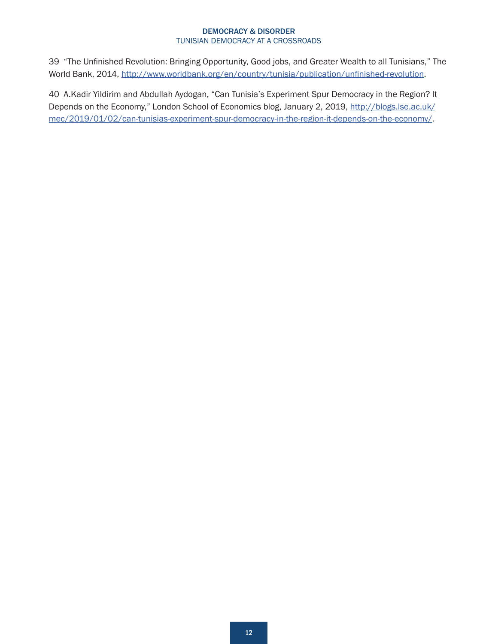<span id="page-11-0"></span>[39](#page-7-0) "The Unfinished Revolution: Bringing Opportunity, Good jobs, and Greater Wealth to all Tunisians," The World Bank, 2014, <http://www.worldbank.org/en/country/tunisia/publication/unfinished-revolution>.

[40](#page-7-0) A.Kadir Yildirim and Abdullah Aydogan, "Can Tunisia's Experiment Spur Democracy in the Region? It Depends on the Economy," London School of Economics blog, January 2, 2019, [http://blogs.lse.ac.uk/](http://blogs.lse.ac.uk/mec/2019/01/02/can-tunisias-experiment-spur-democracy-in-the-region-it-depends-on-the-economy/) [mec/2019/01/02/can-tunisias-experiment-spur-democracy-in-the-region-it-depends-on-the-economy/.](http://blogs.lse.ac.uk/mec/2019/01/02/can-tunisias-experiment-spur-democracy-in-the-region-it-depends-on-the-economy/)